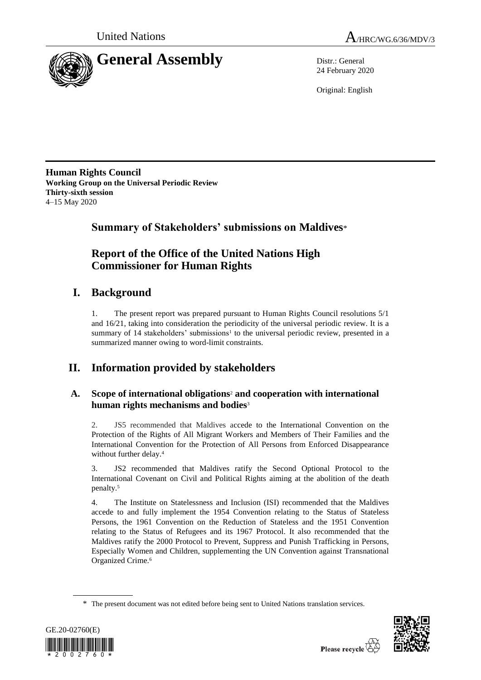



24 February 2020

Original: English

**Human Rights Council Working Group on the Universal Periodic Review Thirty-sixth session** 4–15 May 2020

**Summary of Stakeholders' submissions on Maldives**\*

# **Report of the Office of the United Nations High Commissioner for Human Rights**

# **I. Background**

1. The present report was prepared pursuant to Human Rights Council resolutions 5/1 and 16/21, taking into consideration the periodicity of the universal periodic review. It is a summary of  $14$  stakeholders' submissions<sup>1</sup> to the universal periodic review, presented in a summarized manner owing to word-limit constraints.

# **II. Information provided by stakeholders**

# **A. Scope of international obligations**<sup>2</sup> **and cooperation with international human rights mechanisms and bodies**<sup>3</sup>

2. JS5 recommended that Maldives accede to the International Convention on the Protection of the Rights of All Migrant Workers and Members of Their Families and the International Convention for the Protection of All Persons from Enforced Disappearance without further delay.<sup>4</sup>

3. JS2 recommended that Maldives ratify the Second Optional Protocol to the International Covenant on Civil and Political Rights aiming at the abolition of the death penalty.<sup>5</sup>

4. The Institute on Statelessness and Inclusion (ISI) recommended that the Maldives accede to and fully implement the 1954 Convention relating to the Status of Stateless Persons, the 1961 Convention on the Reduction of Stateless and the 1951 Convention relating to the Status of Refugees and its 1967 Protocol. It also recommended that the Maldives ratify the 2000 Protocol to Prevent, Suppress and Punish Trafficking in Persons, Especially Women and Children, supplementing the UN Convention against Transnational Organized Crime. 6

<sup>\*</sup> The present document was not edited before being sent to United Nations translation services.



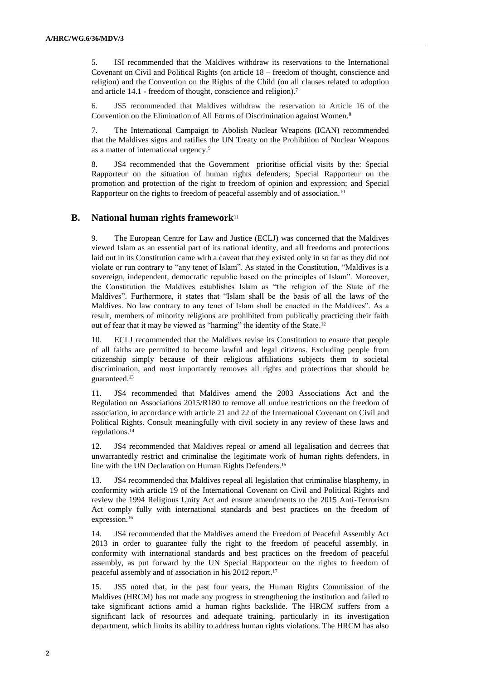5. ISI recommended that the Maldives withdraw its reservations to the International Covenant on Civil and Political Rights (on article 18 – freedom of thought, conscience and religion) and the Convention on the Rights of the Child (on all clauses related to adoption and article 14.1 - freedom of thought, conscience and religion). 7

6. JS5 recommended that Maldives withdraw the reservation to Article 16 of the Convention on the Elimination of All Forms of Discrimination against Women. 8

7. The International Campaign to Abolish Nuclear Weapons (ICAN) recommended that the Maldives signs and ratifies the UN Treaty on the Prohibition of Nuclear Weapons as a matter of international urgency. 9

8. JS4 recommended that the Government prioritise official visits by the: Special Rapporteur on the situation of human rights defenders; Special Rapporteur on the promotion and protection of the right to freedom of opinion and expression; and Special Rapporteur on the rights to freedom of peaceful assembly and of association.<sup>10</sup>

## **B. National human rights framework**<sup>11</sup>

9. The European Centre for Law and Justice (ECLJ) was concerned that the Maldives viewed Islam as an essential part of its national identity, and all freedoms and protections laid out in its Constitution came with a caveat that they existed only in so far as they did not violate or run contrary to "any tenet of Islam". As stated in the Constitution, "Maldives is a sovereign, independent, democratic republic based on the principles of Islam". Moreover, the Constitution the Maldives establishes Islam as "the religion of the State of the Maldives". Furthermore, it states that "Islam shall be the basis of all the laws of the Maldives. No law contrary to any tenet of Islam shall be enacted in the Maldives". As a result, members of minority religions are prohibited from publically practicing their faith out of fear that it may be viewed as "harming" the identity of the State.<sup>12</sup>

10. ECLJ recommended that the Maldives revise its Constitution to ensure that people of all faiths are permitted to become lawful and legal citizens. Excluding people from citizenship simply because of their religious affiliations subjects them to societal discrimination, and most importantly removes all rights and protections that should be guaranteed. 13

11. JS4 recommended that Maldives amend the 2003 Associations Act and the Regulation on Associations 2015/R180 to remove all undue restrictions on the freedom of association, in accordance with article 21 and 22 of the International Covenant on Civil and Political Rights. Consult meaningfully with civil society in any review of these laws and regulations. 14

12. JS4 recommended that Maldives repeal or amend all legalisation and decrees that unwarrantedly restrict and criminalise the legitimate work of human rights defenders, in line with the UN Declaration on Human Rights Defenders. 15

13. JS4 recommended that Maldives repeal all legislation that criminalise blasphemy, in conformity with article 19 of the International Covenant on Civil and Political Rights and review the 1994 Religious Unity Act and ensure amendments to the 2015 Anti-Terrorism Act comply fully with international standards and best practices on the freedom of expression. 16

14. JS4 recommended that the Maldives amend the Freedom of Peaceful Assembly Act 2013 in order to guarantee fully the right to the freedom of peaceful assembly, in conformity with international standards and best practices on the freedom of peaceful assembly, as put forward by the UN Special Rapporteur on the rights to freedom of peaceful assembly and of association in his 2012 report. 17

15. JS5 noted that, in the past four years, the Human Rights Commission of the Maldives (HRCM) has not made any progress in strengthening the institution and failed to take significant actions amid a human rights backslide. The HRCM suffers from a significant lack of resources and adequate training, particularly in its investigation department, which limits its ability to address human rights violations. The HRCM has also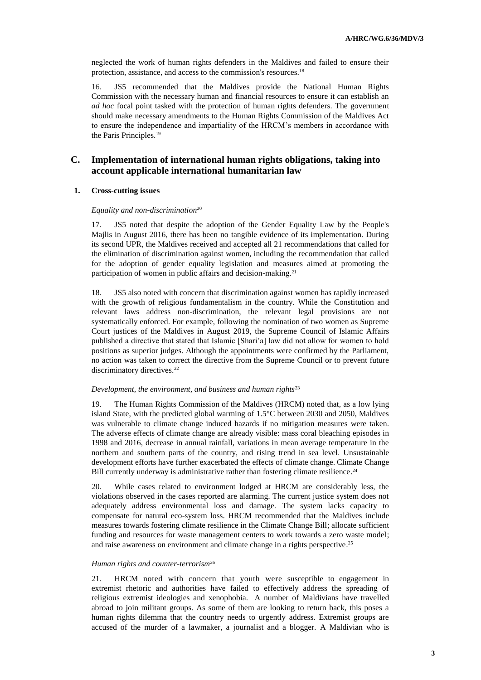neglected the work of human rights defenders in the Maldives and failed to ensure their protection, assistance, and access to the commission's resources. 18

16. JS5 recommended that the Maldives provide the National Human Rights Commission with the necessary human and financial resources to ensure it can establish an *ad hoc* focal point tasked with the protection of human rights defenders. The government should make necessary amendments to the Human Rights Commission of the Maldives Act to ensure the independence and impartiality of the HRCM's members in accordance with the Paris Principles.<sup>19</sup>

## **C. Implementation of international human rights obligations, taking into account applicable international humanitarian law**

### **1. Cross-cutting issues**

#### *Equality and non-discrimination*<sup>20</sup>

17. JS5 noted that despite the adoption of the Gender Equality Law by the People's Majlis in August 2016, there has been no tangible evidence of its implementation. During its second UPR, the Maldives received and accepted all 21 recommendations that called for the elimination of discrimination against women, including the recommendation that called for the adoption of gender equality legislation and measures aimed at promoting the participation of women in public affairs and decision-making. 21

18. JS5 also noted with concern that discrimination against women has rapidly increased with the growth of religious fundamentalism in the country. While the Constitution and relevant laws address non-discrimination, the relevant legal provisions are not systematically enforced. For example, following the nomination of two women as Supreme Court justices of the Maldives in August 2019, the Supreme Council of Islamic Affairs published a directive that stated that Islamic [Shari'a] law did not allow for women to hold positions as superior judges. Although the appointments were confirmed by the Parliament, no action was taken to correct the directive from the Supreme Council or to prevent future discriminatory directives.<sup>22</sup>

#### *Development, the environment, and business and human rights*<sup>23</sup>

19. The Human Rights Commission of the Maldives (HRCM) noted that, as a low lying island State, with the predicted global warming of 1.5°C between 2030 and 2050, Maldives was vulnerable to climate change induced hazards if no mitigation measures were taken. The adverse effects of climate change are already visible: mass coral bleaching episodes in 1998 and 2016, decrease in annual rainfall, variations in mean average temperature in the northern and southern parts of the country, and rising trend in sea level. Unsustainable development efforts have further exacerbated the effects of climate change. Climate Change Bill currently underway is administrative rather than fostering climate resilience.<sup>24</sup>

20. While cases related to environment lodged at HRCM are considerably less, the violations observed in the cases reported are alarming. The current justice system does not adequately address environmental loss and damage. The system lacks capacity to compensate for natural eco-system loss. HRCM recommended that the Maldives include measures towards fostering climate resilience in the Climate Change Bill; allocate sufficient funding and resources for waste management centers to work towards a zero waste model; and raise awareness on environment and climate change in a rights perspective. 25

#### *Human rights and counter-terrorism*<sup>26</sup>

21. HRCM noted with concern that youth were susceptible to engagement in extremist rhetoric and authorities have failed to effectively address the spreading of religious extremist ideologies and xenophobia. A number of Maldivians have travelled abroad to join militant groups. As some of them are looking to return back, this poses a human rights dilemma that the country needs to urgently address. Extremist groups are accused of the murder of a lawmaker, a journalist and a blogger. A Maldivian who is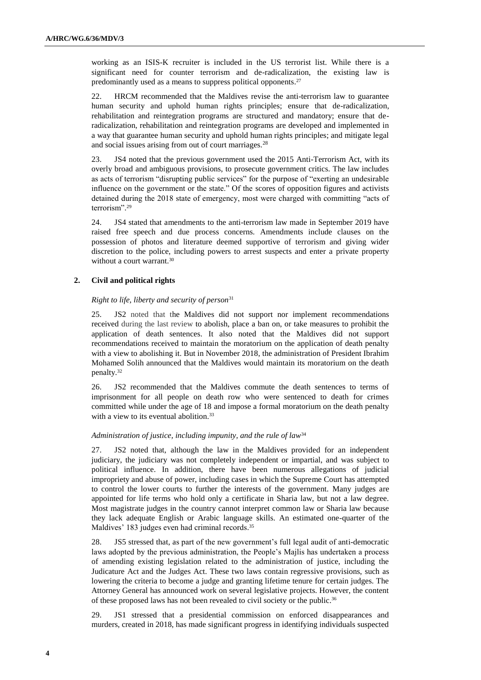working as an ISIS-K recruiter is included in the US terrorist list. While there is a significant need for counter terrorism and de-radicalization, the existing law is predominantly used as a means to suppress political opponents. 27

22. HRCM recommended that the Maldives revise the anti-terrorism law to guarantee human security and uphold human rights principles; ensure that de-radicalization, rehabilitation and reintegration programs are structured and mandatory; ensure that deradicalization, rehabilitation and reintegration programs are developed and implemented in a way that guarantee human security and uphold human rights principles; and mitigate legal and social issues arising from out of court marriages.<sup>28</sup>

23. JS4 noted that the previous government used the 2015 Anti-Terrorism Act, with its overly broad and ambiguous provisions, to prosecute government critics. The law includes as acts of terrorism "disrupting public services" for the purpose of "exerting an undesirable influence on the government or the state." Of the scores of opposition figures and activists detained during the 2018 state of emergency, most were charged with committing "acts of terrorism". 29

24. JS4 stated that amendments to the anti-terrorism law made in September 2019 have raised free speech and due process concerns. Amendments include clauses on the possession of photos and literature deemed supportive of terrorism and giving wider discretion to the police, including powers to arrest suspects and enter a private property without a court warrant.<sup>30</sup>

### **2. Civil and political rights**

#### *Right to life, liberty and security of person*<sup>31</sup>

25. JS2 noted that the Maldives did not support nor implement recommendations received during the last review to abolish, place a ban on, or take measures to prohibit the application of death sentences. It also noted that the Maldives did not support recommendations received to maintain the moratorium on the application of death penalty with a view to abolishing it. But in November 2018, the administration of President Ibrahim Mohamed Solih announced that the Maldives would maintain its moratorium on the death penalty. 32

26. JS2 recommended that the Maldives commute the death sentences to terms of imprisonment for all people on death row who were sentenced to death for crimes committed while under the age of 18 and impose a formal moratorium on the death penalty with a view to its eventual abolition.<sup>33</sup>

#### *Administration of justice, including impunity, and the rule of law*<sup>34</sup>

27. JS2 noted that, although the law in the Maldives provided for an independent judiciary, the judiciary was not completely independent or impartial, and was subject to political influence. In addition, there have been numerous allegations of judicial impropriety and abuse of power, including cases in which the Supreme Court has attempted to control the lower courts to further the interests of the government. Many judges are appointed for life terms who hold only a certificate in Sharia law, but not a law degree. Most magistrate judges in the country cannot interpret common law or Sharia law because they lack adequate English or Arabic language skills. An estimated one-quarter of the Maldives' 183 judges even had criminal records.<sup>35</sup>

28. JS5 stressed that, as part of the new government's full legal audit of anti-democratic laws adopted by the previous administration, the People's Majlis has undertaken a process of amending existing legislation related to the administration of justice, including the Judicature Act and the Judges Act. These two laws contain regressive provisions, such as lowering the criteria to become a judge and granting lifetime tenure for certain judges. The Attorney General has announced work on several legislative projects. However, the content of these proposed laws has not been revealed to civil society or the public.<sup>36</sup>

29. JS1 stressed that a presidential commission on enforced disappearances and murders, created in 2018, has made significant progress in identifying individuals suspected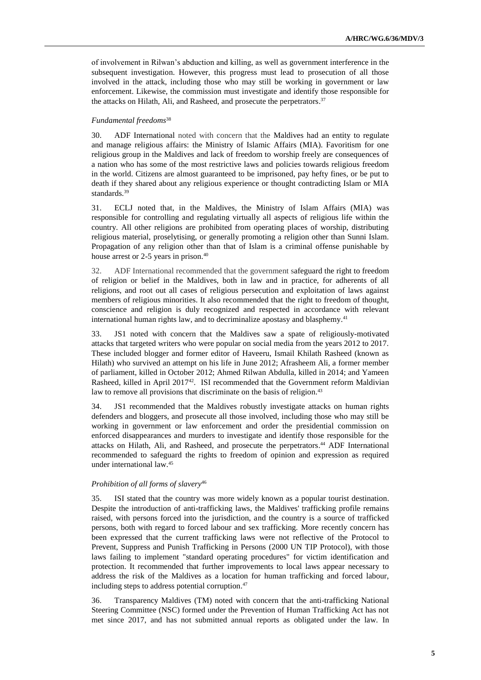of involvement in Rilwan's abduction and killing, as well as government interference in the subsequent investigation. However, this progress must lead to prosecution of all those involved in the attack, including those who may still be working in government or law enforcement. Likewise, the commission must investigate and identify those responsible for the attacks on Hilath, Ali, and Rasheed, and prosecute the perpetrators. 37

#### *Fundamental freedoms*<sup>38</sup>

30. ADF International noted with concern that the Maldives had an entity to regulate and manage religious affairs: the Ministry of Islamic Affairs (MIA). Favoritism for one religious group in the Maldives and lack of freedom to worship freely are consequences of a nation who has some of the most restrictive laws and policies towards religious freedom in the world. Citizens are almost guaranteed to be imprisoned, pay hefty fines, or be put to death if they shared about any religious experience or thought contradicting Islam or MIA standards. 39

31. ECLJ noted that, in the Maldives, the Ministry of Islam Affairs (MIA) was responsible for controlling and regulating virtually all aspects of religious life within the country. All other religions are prohibited from operating places of worship, distributing religious material, proselytising, or generally promoting a religion other than Sunni Islam. Propagation of any religion other than that of Islam is a criminal offense punishable by house arrest or 2-5 years in prison.<sup>40</sup>

32. ADF International recommended that the government safeguard the right to freedom of religion or belief in the Maldives, both in law and in practice, for adherents of all religions, and root out all cases of religious persecution and exploitation of laws against members of religious minorities. It also recommended that the right to freedom of thought, conscience and religion is duly recognized and respected in accordance with relevant international human rights law, and to decriminalize apostasy and blasphemy. 41

33. JS1 noted with concern that the Maldives saw a spate of religiously-motivated attacks that targeted writers who were popular on social media from the years 2012 to 2017. These included blogger and former editor of Haveeru, Ismail Khilath Rasheed (known as Hilath) who survived an attempt on his life in June 2012; Afrasheem Ali, a former member of parliament, killed in October 2012; Ahmed Rilwan Abdulla, killed in 2014; and Yameen Rasheed, killed in April 2017<sup>42</sup>. ISI recommended that the Government reform Maldivian law to remove all provisions that discriminate on the basis of religion.<sup>43</sup>

34. JS1 recommended that the Maldives robustly investigate attacks on human rights defenders and bloggers, and prosecute all those involved, including those who may still be working in government or law enforcement and order the presidential commission on enforced disappearances and murders to investigate and identify those responsible for the attacks on Hilath, Ali, and Rasheed, and prosecute the perpetrators. <sup>44</sup> ADF International recommended to safeguard the rights to freedom of opinion and expression as required under international law. 45

#### *Prohibition of all forms of slavery*<sup>46</sup>

35. ISI stated that the country was more widely known as a popular tourist destination. Despite the introduction of anti-trafficking laws, the Maldives' trafficking profile remains raised, with persons forced into the jurisdiction, and the country is a source of trafficked persons, both with regard to forced labour and sex trafficking. More recently concern has been expressed that the current trafficking laws were not reflective of the Protocol to Prevent, Suppress and Punish Trafficking in Persons (2000 UN TIP Protocol), with those laws failing to implement "standard operating procedures" for victim identification and protection. It recommended that further improvements to local laws appear necessary to address the risk of the Maldives as a location for human trafficking and forced labour, including steps to address potential corruption. 47

36. Transparency Maldives (TM) noted with concern that the anti-trafficking National Steering Committee (NSC) formed under the Prevention of Human Trafficking Act has not met since 2017, and has not submitted annual reports as obligated under the law. In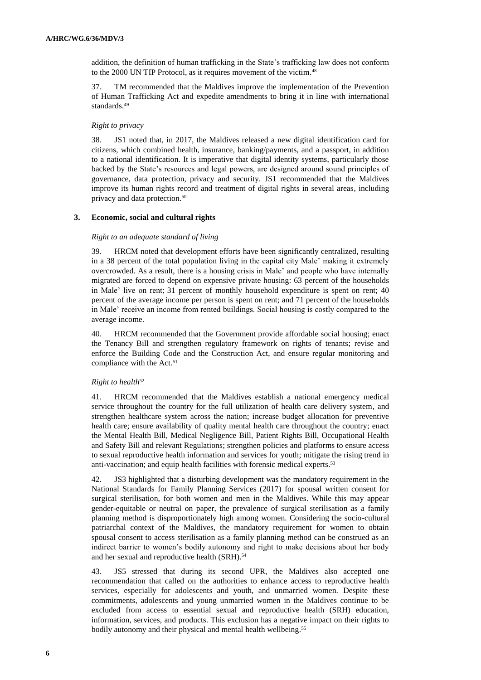addition, the definition of human trafficking in the State's trafficking law does not conform to the 2000 UN TIP Protocol, as it requires movement of the victim. 48

37. TM recommended that the Maldives improve the implementation of the Prevention of Human Trafficking Act and expedite amendments to bring it in line with international standards. 49

#### *Right to privacy*

38. JS1 noted that, in 2017, the Maldives released a new digital identification card for citizens, which combined health, insurance, banking/payments, and a passport, in addition to a national identification. It is imperative that digital identity systems, particularly those backed by the State's resources and legal powers, are designed around sound principles of governance, data protection, privacy and security. JS1 recommended that the Maldives improve its human rights record and treatment of digital rights in several areas, including privacy and data protection. 50

#### **3. Economic, social and cultural rights**

#### *Right to an adequate standard of living*

39. HRCM noted that development efforts have been significantly centralized, resulting in a 38 percent of the total population living in the capital city Male' making it extremely overcrowded. As a result, there is a housing crisis in Male' and people who have internally migrated are forced to depend on expensive private housing: 63 percent of the households in Male' live on rent; 31 percent of monthly household expenditure is spent on rent; 40 percent of the average income per person is spent on rent; and 71 percent of the households in Male' receive an income from rented buildings. Social housing is costly compared to the average income.

40. HRCM recommended that the Government provide affordable social housing; enact the Tenancy Bill and strengthen regulatory framework on rights of tenants; revise and enforce the Building Code and the Construction Act, and ensure regular monitoring and compliance with the Act. 51

#### *Right to health*<sup>52</sup>

41. HRCM recommended that the Maldives establish a national emergency medical service throughout the country for the full utilization of health care delivery system, and strengthen healthcare system across the nation; increase budget allocation for preventive health care; ensure availability of quality mental health care throughout the country; enact the Mental Health Bill, Medical Negligence Bill, Patient Rights Bill, Occupational Health and Safety Bill and relevant Regulations; strengthen policies and platforms to ensure access to sexual reproductive health information and services for youth; mitigate the rising trend in anti-vaccination; and equip health facilities with forensic medical experts. 53

42. JS3 highlighted that a disturbing development was the mandatory requirement in the National Standards for Family Planning Services (2017) for spousal written consent for surgical sterilisation, for both women and men in the Maldives. While this may appear gender-equitable or neutral on paper, the prevalence of surgical sterilisation as a family planning method is disproportionately high among women. Considering the socio-cultural patriarchal context of the Maldives, the mandatory requirement for women to obtain spousal consent to access sterilisation as a family planning method can be construed as an indirect barrier to women's bodily autonomy and right to make decisions about her body and her sexual and reproductive health (SRH).<sup>54</sup>

43. JS5 stressed that during its second UPR, the Maldives also accepted one recommendation that called on the authorities to enhance access to reproductive health services, especially for adolescents and youth, and unmarried women. Despite these commitments, adolescents and young unmarried women in the Maldives continue to be excluded from access to essential sexual and reproductive health (SRH) education, information, services, and products. This exclusion has a negative impact on their rights to bodily autonomy and their physical and mental health wellbeing.<sup>55</sup>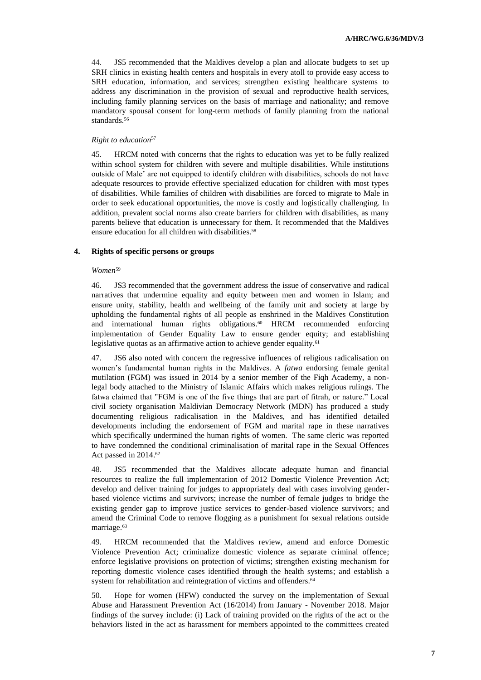44. JS5 recommended that the Maldives develop a plan and allocate budgets to set up SRH clinics in existing health centers and hospitals in every atoll to provide easy access to SRH education, information, and services; strengthen existing healthcare systems to address any discrimination in the provision of sexual and reproductive health services, including family planning services on the basis of marriage and nationality; and remove mandatory spousal consent for long-term methods of family planning from the national standards.<sup>56</sup>

#### *Right to education*<sup>57</sup>

45. HRCM noted with concerns that the rights to education was yet to be fully realized within school system for children with severe and multiple disabilities. While institutions outside of Male' are not equipped to identify children with disabilities, schools do not have adequate resources to provide effective specialized education for children with most types of disabilities. While families of children with disabilities are forced to migrate to Male in order to seek educational opportunities, the move is costly and logistically challenging. In addition, prevalent social norms also create barriers for children with disabilities, as many parents believe that education is unnecessary for them. It recommended that the Maldives ensure education for all children with disabilities. 58

#### **4. Rights of specific persons or groups**

#### *Women*<sup>59</sup>

46. JS3 recommended that the government address the issue of conservative and radical narratives that undermine equality and equity between men and women in Islam; and ensure unity, stability, health and wellbeing of the family unit and society at large by upholding the fundamental rights of all people as enshrined in the Maldives Constitution and international human rights obligations. <sup>60</sup> HRCM recommended enforcing implementation of Gender Equality Law to ensure gender equity; and establishing legislative quotas as an affirmative action to achieve gender equality.<sup>61</sup>

47. JS6 also noted with concern the regressive influences of religious radicalisation on women's fundamental human rights in the Maldives. A *fatwa* endorsing female genital mutilation (FGM) was issued in 2014 by a senior member of the Fiqh Academy, a nonlegal body attached to the Ministry of Islamic Affairs which makes religious rulings. The fatwa claimed that "FGM is one of the five things that are part of fitrah, or nature." Local civil society organisation Maldivian Democracy Network (MDN) has produced a study documenting religious radicalisation in the Maldives, and has identified detailed developments including the endorsement of FGM and marital rape in these narratives which specifically undermined the human rights of women. The same cleric was reported to have condemned the conditional criminalisation of marital rape in the Sexual Offences Act passed in 2014. 62

48. JS5 recommended that the Maldives allocate adequate human and financial resources to realize the full implementation of 2012 Domestic Violence Prevention Act; develop and deliver training for judges to appropriately deal with cases involving genderbased violence victims and survivors; increase the number of female judges to bridge the existing gender gap to improve justice services to gender-based violence survivors; and amend the Criminal Code to remove flogging as a punishment for sexual relations outside marriage.<sup>63</sup>

49. HRCM recommended that the Maldives review, amend and enforce Domestic Violence Prevention Act; criminalize domestic violence as separate criminal offence; enforce legislative provisions on protection of victims; strengthen existing mechanism for reporting domestic violence cases identified through the health systems; and establish a system for rehabilitation and reintegration of victims and offenders.<sup>64</sup>

50. Hope for women (HFW) conducted the survey on the implementation of Sexual Abuse and Harassment Prevention Act (16/2014) from January - November 2018. Major findings of the survey include: (i) Lack of training provided on the rights of the act or the behaviors listed in the act as harassment for members appointed to the committees created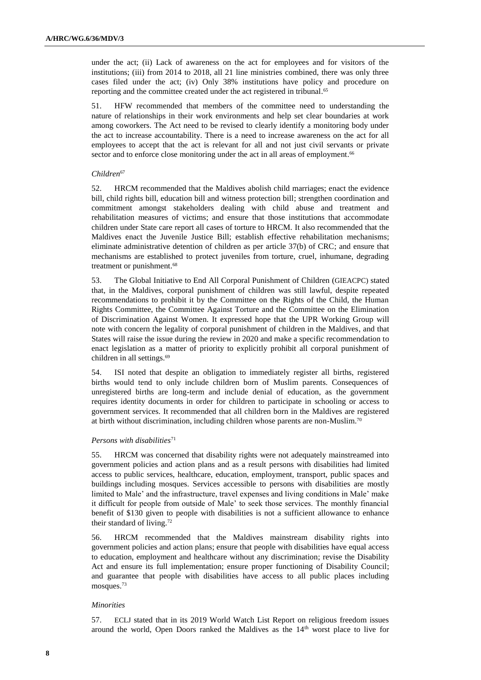under the act; (ii) Lack of awareness on the act for employees and for visitors of the institutions; (iii) from 2014 to 2018, all 21 line ministries combined, there was only three cases filed under the act; (iv) Only 38% institutions have policy and procedure on reporting and the committee created under the act registered in tribunal. 65

51. HFW recommended that members of the committee need to understanding the nature of relationships in their work environments and help set clear boundaries at work among coworkers. The Act need to be revised to clearly identify a monitoring body under the act to increase accountability. There is a need to increase awareness on the act for all employees to accept that the act is relevant for all and not just civil servants or private sector and to enforce close monitoring under the act in all areas of employment.<sup>66</sup>

#### *Children*<sup>67</sup>

52. HRCM recommended that the Maldives abolish child marriages; enact the evidence bill, child rights bill, education bill and witness protection bill; strengthen coordination and commitment amongst stakeholders dealing with child abuse and treatment and rehabilitation measures of victims; and ensure that those institutions that accommodate children under State care report all cases of torture to HRCM. It also recommended that the Maldives enact the Juvenile Justice Bill; establish effective rehabilitation mechanisms; eliminate administrative detention of children as per article 37(b) of CRC; and ensure that mechanisms are established to protect juveniles from torture, cruel, inhumane, degrading treatment or punishment. 68

53. The Global Initiative to End All Corporal Punishment of Children (GIEACPC) stated that, in the Maldives, corporal punishment of children was still lawful, despite repeated recommendations to prohibit it by the Committee on the Rights of the Child, the Human Rights Committee, the Committee Against Torture and the Committee on the Elimination of Discrimination Against Women. It expressed hope that the UPR Working Group will note with concern the legality of corporal punishment of children in the Maldives, and that States will raise the issue during the review in 2020 and make a specific recommendation to enact legislation as a matter of priority to explicitly prohibit all corporal punishment of children in all settings. 69

54. ISI noted that despite an obligation to immediately register all births, registered births would tend to only include children born of Muslim parents. Consequences of unregistered births are long-term and include denial of education, as the government requires identity documents in order for children to participate in schooling or access to government services. It recommended that all children born in the Maldives are registered at birth without discrimination, including children whose parents are non-Muslim.<sup>70</sup>

#### *Persons with disabilities*<sup>71</sup>

55. HRCM was concerned that disability rights were not adequately mainstreamed into government policies and action plans and as a result persons with disabilities had limited access to public services, healthcare, education, employment, transport, public spaces and buildings including mosques. Services accessible to persons with disabilities are mostly limited to Male' and the infrastructure, travel expenses and living conditions in Male' make it difficult for people from outside of Male' to seek those services. The monthly financial benefit of \$130 given to people with disabilities is not a sufficient allowance to enhance their standard of living. 72

56. HRCM recommended that the Maldives mainstream disability rights into government policies and action plans; ensure that people with disabilities have equal access to education, employment and healthcare without any discrimination; revise the Disability Act and ensure its full implementation; ensure proper functioning of Disability Council; and guarantee that people with disabilities have access to all public places including mosques.<sup>73</sup>

#### *Minorities*

57. ECLJ stated that in its 2019 World Watch List Report on religious freedom issues around the world, Open Doors ranked the Maldives as the 14<sup>th</sup> worst place to live for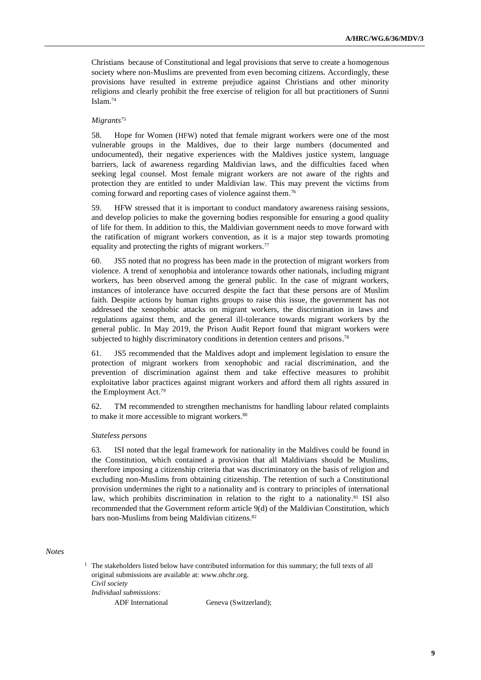Christians because of Constitutional and legal provisions that serve to create a homogenous society where non-Muslims are prevented from even becoming citizens. Accordingly, these provisions have resulted in extreme prejudice against Christians and other minority religions and clearly prohibit the free exercise of religion for all but practitioners of Sunni Islam. 74

### *Migrants*<sup>75</sup>

58. Hope for Women (HFW) noted that female migrant workers were one of the most vulnerable groups in the Maldives, due to their large numbers (documented and undocumented), their negative experiences with the Maldives justice system, language barriers, lack of awareness regarding Maldivian laws, and the difficulties faced when seeking legal counsel. Most female migrant workers are not aware of the rights and protection they are entitled to under Maldivian law. This may prevent the victims from coming forward and reporting cases of violence against them. 76

59. HFW stressed that it is important to conduct mandatory awareness raising sessions, and develop policies to make the governing bodies responsible for ensuring a good quality of life for them. In addition to this, the Maldivian government needs to move forward with the ratification of migrant workers convention, as it is a major step towards promoting equality and protecting the rights of migrant workers.<sup>77</sup>

60. JS5 noted that no progress has been made in the protection of migrant workers from violence. A trend of xenophobia and intolerance towards other nationals, including migrant workers, has been observed among the general public. In the case of migrant workers, instances of intolerance have occurred despite the fact that these persons are of Muslim faith. Despite actions by human rights groups to raise this issue, the government has not addressed the xenophobic attacks on migrant workers, the discrimination in laws and regulations against them, and the general ill-tolerance towards migrant workers by the general public. In May 2019, the Prison Audit Report found that migrant workers were subjected to highly discriminatory conditions in detention centers and prisons.<sup>78</sup>

61. JS5 recommended that the Maldives adopt and implement legislation to ensure the protection of migrant workers from xenophobic and racial discrimination, and the prevention of discrimination against them and take effective measures to prohibit exploitative labor practices against migrant workers and afford them all rights assured in the Employment Act. 79

62. TM recommended to strengthen mechanisms for handling labour related complaints to make it more accessible to migrant workers.<sup>80</sup>

#### *Stateless persons*

63. ISI noted that the legal framework for nationality in the Maldives could be found in the Constitution, which contained a provision that all Maldivians should be Muslims, therefore imposing a citizenship criteria that was discriminatory on the basis of religion and excluding non-Muslims from obtaining citizenship. The retention of such a Constitutional provision undermines the right to a nationality and is contrary to principles of international law, which prohibits discrimination in relation to the right to a nationality.<sup>81</sup> ISI also recommended that the Government reform article 9(d) of the Maldivian Constitution, which bars non-Muslims from being Maldivian citizens. 82

*Notes*

 $1$  The stakeholders listed below have contributed information for this summary; the full texts of all original submissions are available at: [www.ohchr.org.](http://www.ohchr.org/) *Civil society Individual submissions:*

ADF International Geneva (Switzerland);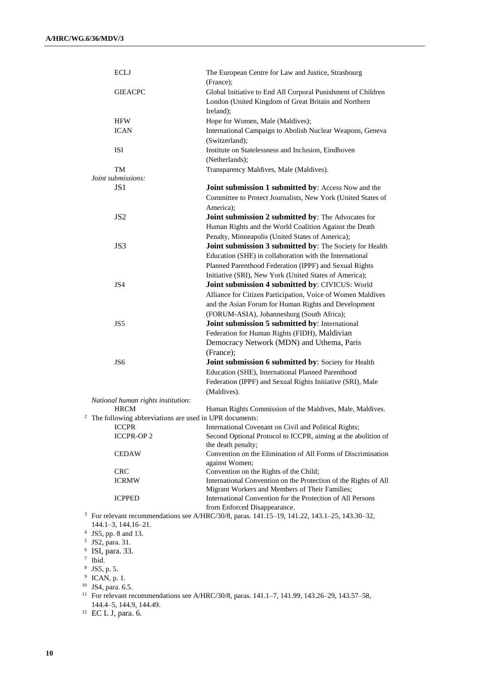|   | <b>ECLJ</b>                                                | The European Centre for Law and Justice, Strasbourg<br>(France);                                                     |
|---|------------------------------------------------------------|----------------------------------------------------------------------------------------------------------------------|
|   | <b>GIEACPC</b>                                             | Global Initiative to End All Corporal Punishment of Children<br>London (United Kingdom of Great Britain and Northern |
|   |                                                            | Ireland);                                                                                                            |
|   | <b>HFW</b>                                                 | Hope for Women, Male (Maldives);                                                                                     |
|   | <b>ICAN</b>                                                | International Campaign to Abolish Nuclear Weapons, Geneva                                                            |
|   |                                                            | (Switzerland);                                                                                                       |
|   | ISI                                                        | Institute on Statelessness and Inclusion, Eindhoven                                                                  |
|   |                                                            | (Netherlands);                                                                                                       |
|   | TM                                                         | Transparency Maldives, Male (Maldives).                                                                              |
|   | Joint submissions:                                         |                                                                                                                      |
|   | JS <sub>1</sub>                                            | Joint submission 1 submitted by: Access Now and the                                                                  |
|   |                                                            | Committee to Protect Journalists, New York (United States of                                                         |
|   |                                                            | America);                                                                                                            |
|   |                                                            |                                                                                                                      |
|   | JS2                                                        | Joint submission 2 submitted by: The Advocates for                                                                   |
|   |                                                            | Human Rights and the World Coalition Against the Death                                                               |
|   |                                                            | Penalty, Minneapolis (United States of America);                                                                     |
|   | JS3                                                        | Joint submission 3 submitted by: The Society for Health                                                              |
|   |                                                            | Education (SHE) in collaboration with the International                                                              |
|   |                                                            | Planned Parenthood Federation (IPPF) and Sexual Rights                                                               |
|   |                                                            | Initiative (SRI), New York (United States of America);                                                               |
|   | JS4                                                        | Joint submission 4 submitted by: CIVICUS: World                                                                      |
|   |                                                            | Alliance for Citizen Participation, Voice of Women Maldives                                                          |
|   |                                                            | and the Asian Forum for Human Rights and Development                                                                 |
|   |                                                            | (FORUM-ASIA), Johannesburg (South Africa);                                                                           |
|   | JS5                                                        | Joint submission 5 submitted by: International                                                                       |
|   |                                                            | Federation for Human Rights (FIDH), Maldivian                                                                        |
|   |                                                            | Democracy Network (MDN) and Uthema, Paris                                                                            |
|   |                                                            | (France);                                                                                                            |
|   | JS <sub>6</sub>                                            | Joint submission 6 submitted by: Society for Health                                                                  |
|   |                                                            | Education (SHE), International Planned Parenthood                                                                    |
|   |                                                            | Federation (IPPF) and Sexual Rights Initiative (SRI), Male                                                           |
|   |                                                            | (Maldives).                                                                                                          |
|   | National human rights institution:                         |                                                                                                                      |
|   | <b>HRCM</b>                                                | Human Rights Commission of the Maldives, Male, Maldives.                                                             |
|   | $2$ The following abbreviations are used in UPR documents: |                                                                                                                      |
|   | <b>ICCPR</b>                                               | International Covenant on Civil and Political Rights:                                                                |
|   | <b>ICCPR-OP2</b>                                           | Second Optional Protocol to ICCPR, aiming at the abolition of                                                        |
|   |                                                            | the death penalty;                                                                                                   |
|   | <b>CEDAW</b>                                               | Convention on the Elimination of All Forms of Discrimination                                                         |
|   |                                                            | against Women;                                                                                                       |
|   | <b>CRC</b>                                                 | Convention on the Rights of the Child;                                                                               |
|   | <b>ICRMW</b>                                               | International Convention on the Protection of the Rights of All                                                      |
|   |                                                            | Migrant Workers and Members of Their Families;                                                                       |
|   | <b>ICPPED</b>                                              | International Convention for the Protection of All Persons                                                           |
|   |                                                            | from Enforced Disappearance.                                                                                         |
|   |                                                            | <sup>3</sup> For relevant recommendations see A/HRC/30/8, paras. $141.15-19$ , $141.22$ , $143.1-25$ , $143.30-32$ , |
|   | 144.1-3, 144.16-21.<br><sup>4</sup> JS5, pp. 8 and 13.     |                                                                                                                      |
| 5 | JS2, para. 31.                                             |                                                                                                                      |
|   | $6$ ISI, para. 33.                                         |                                                                                                                      |
|   | $7$ Ibid.                                                  |                                                                                                                      |
| 8 | JS5, p. 5.                                                 |                                                                                                                      |
| 9 | ICAN, p. 1.                                                |                                                                                                                      |
|   | <sup>10</sup> JS4, para. 6.5.                              |                                                                                                                      |

<sup>11</sup> For relevant recommendations see A/HRC/30/8, paras. 141.1–7, 141.99, 143.26–29, 143.57–58, 144.4–5, 144.9, 144.49.

<sup>12</sup> EC L J, para. 6.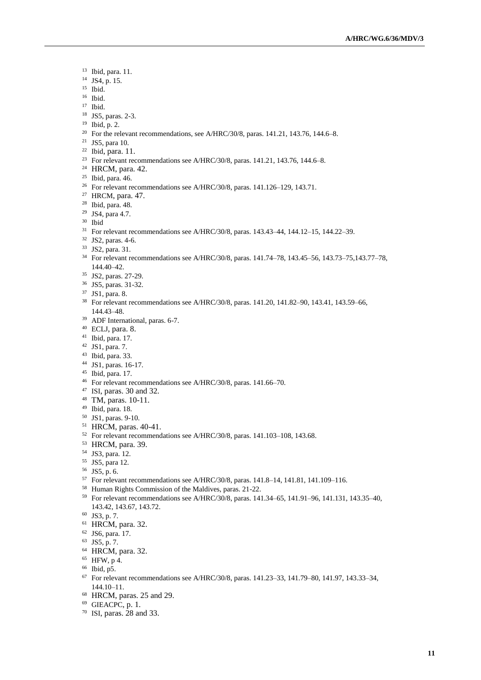- Ibid, para. 11.
- JS4, p. 15.
- Ibid.
- Ibid.
- Ibid.
- JS5, paras. 2-3.
- Ibid, p. 2.
- <sup>20</sup> For the relevant recommendations, see A/HRC/30/8, paras.  $141.21$ ,  $143.76$ ,  $144.6-8$ .
- <sup>21</sup> JS5, para 10.
- Ibid, para. 11.
- <sup>23</sup> For relevant recommendations see A/HRC/30/8, paras. 141.21, 143.76, 144.6–8.
- HRCM, para. 42.
- Ibid, para. 46.
- <sup>26</sup> For relevant recommendations see A/HRC/30/8, paras. 141.126-129, 143.71.
- HRCM, para. 47.
- Ibid, para. 48.
- JS4, para 4.7.
- Ibid
- For relevant recommendations see A/HRC/30/8, paras. 143.43–44, 144.12–15, 144.22–39.
- JS2, paras. 4-6.
- JS2, para. 31.
- For relevant recommendations see A/HRC/30/8, paras. 141.74–78, 143.45–56, 143.73–75,143.77–78, 144.40–42.
- JS2, paras. 27-29.
- JS5, paras. 31-32.
- JS1, para. 8.
- For relevant recommendations see A/HRC/30/8, paras. 141.20, 141.82–90, 143.41, 143.59–66, 144.43–48.
- ADF International, paras. 6-7.
- ECLJ, para. 8.
- Ibid, para. 17.
- JS1, para. 7.
- Ibid, para. 33.
- JS1, paras. 16-17.
- Ibid, para. 17.
- For relevant recommendations see A/HRC/30/8, paras. 141.66–70.
- ISI, paras. 30 and 32.
- TM, paras. 10-11.
- Ibid, para. 18.
- JS1, paras. 9-10.
- HRCM, paras. 40-41.
- For relevant recommendations see A/HRC/30/8, paras. 141.103–108, 143.68.
- HRCM, para. 39.
- JS3, para. 12.
- JS5, para 12.
- JS5, p. 6.
- For relevant recommendations see A/HRC/30/8, paras. 141.8–14, 141.81, 141.109–116.
- Human Rights Commission of the Maldives, paras. 21-22.
- For relevant recommendations see A/HRC/30/8, paras. 141.34–65, 141.91–96, 141.131, 143.35–40, 143.42, 143.67, 143.72.
- JS3, p. 7.
- HRCM, para. 32.
- JS6, para. 17.
- JS5, p. 7.
- HRCM, para. 32.
- HFW, p 4.
- Ibid, p5.
- For relevant recommendations see A/HRC/30/8, paras. 141.23–33, 141.79–80, 141.97, 143.33–34, 144.10–11.
- HRCM, paras. 25 and 29.
- GIEACPC, p. 1.
- ISI, paras. 28 and 33.